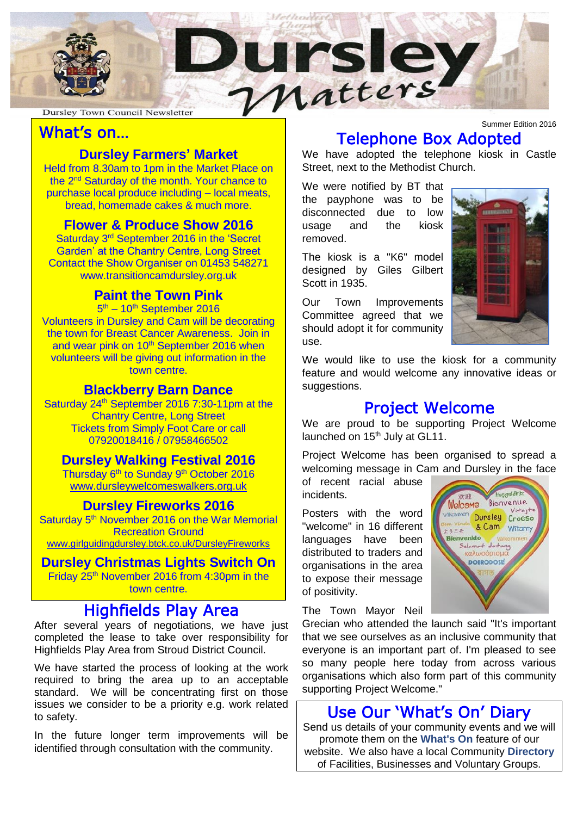

### What's on…

### **Dursley Farmers' Market**

the 2<sup>nd</sup> Saturday of the month. Your chance to mase local produce including – local me<br>bread, homemade cakes & much more. Held from 8.30am to 1pm in the Market Place on purchase local produce including – local meats,

# **Flower & Produce Show 2016**

Saturday 3<sup>rd</sup> September 2016 in the 'Secret Garden' at the Chantry Centre, Long Street Contact the Show Organiser on 01453 548271 [www.transitioncamdursley.org.uk](http://www.transitioncamdursley.org.uk/)

#### **Paint the Town Pink**

5<sup>th</sup> – 10<sup>th</sup> September 2016 Volunteers in Dursley and Cam will be decorating the town for Breast Cancer Awareness. Join in and wear pink on 10<sup>th</sup> September 2016 when volunteers will be giving out information in the town centre.

#### **Blackberry Barn Dance**

 Chantry Centre, Long Street Tickets from Simply Foot Care or call<br>23020049446 (23059466500 Saturday 24<sup>th</sup> September 2016 7:30-11pm at the 07920018416 / 07958466502

#### Ľ **Dursley Walking Festival 2016**

**Durstey Training Pestrual 2010**<br>Thursday 6<sup>th</sup> to Sunday 9<sup>th</sup> October 2016 [www.dursleywelcomeswalkers.org.uk](http://www.dursleywelcomeswalkers.org.uk/)

### **Dursley Fireworks 2016**

Saturday 5<sup>th</sup> November 2016 on the War Memorial Recreation Ground [www.girlguidingdursley.btck.co.uk/DursleyFireworks](http://www.girlguidingdursley.btck.co.uk/DursleyFireworks)

#### **Dursley Christmas Lights Switch On**

Friday 25<sup>th</sup> November 2016 from 4:30pm in the town centre.

### Highfields Play Area

After several years of negotiations, we have just completed the lease to take over responsibility for Highfields Play Area from Stroud District Council.

We have started the process of looking at the work required to bring the area up to an acceptable standard. We will be concentrating first on those issues we consider to be a priority e.g. work related to safety.

In the future longer term improvements will be identified through consultation with the community.

Summer Edition 2016

# Telephone Box Adopted

We have adopted the telephone kiosk in Castle Street, next to the Methodist Church.

We were notified by BT that the payphone was to be disconnected due to low usage and the kiosk removed.

The kiosk is a "K6" model designed by Giles Gilbert Scott in 1935.

Our Town Improvements Committee agreed that we should adopt it for community use.



Welcome Bienvenue

Wikewiven Dursley Croeso & Cam Witamy

> Selamat datang καλωσόρισμα **DOBRODOSLI**

Bienvenido

**Insandrit** 

We would like to use the kiosk for a community feature and would welcome any innovative ideas or suggestions.

### Project Welcome

We are proud to be supporting Project Welcome launched on 15<sup>th</sup> July at GL11.

Project Welcome has been organised to spread a welcoming message in Cam and Dursley in the face

of recent racial abuse incidents.

Posters with the word "welcome" in 16 different languages have been distributed to traders and organisations in the area to expose their message of positivity.

The Town Mayor Neil

Grecian who attended the launch said "It's important that we see ourselves as an inclusive community that everyone is an important part of. I'm pleased to see so many people here today from across various organisations which also form part of this community supporting Project Welcome."

### Use Our 'What's On' Diary

Send us details of your community events and we will promote them on the **[What's On](http://www.dursleytowncouncil.gov.uk/events-calendar.html)** feature of our website. We also have a local Community **[Directory](http://www.dursleytowncouncil.gov.uk/directory.html)** of Facilities, Businesses and Voluntary Groups.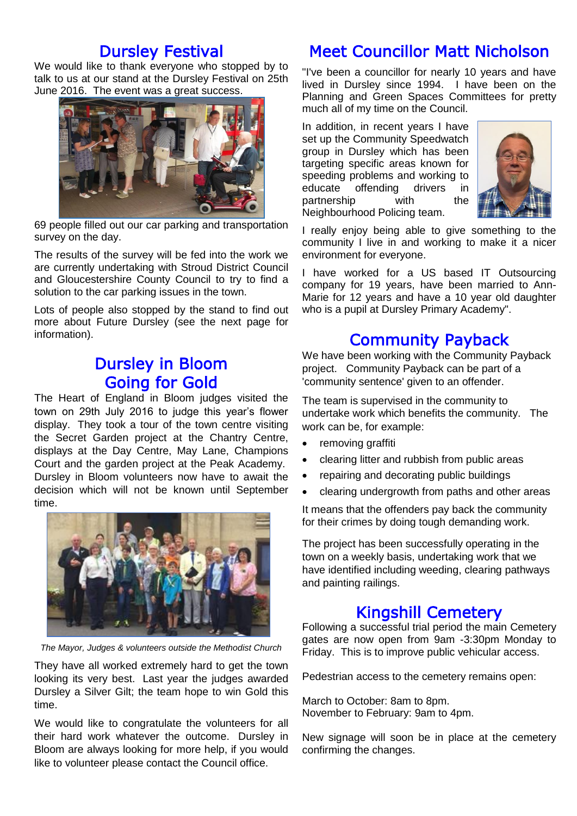### Dursley Festival

We would like to thank everyone who stopped by to talk to us at our stand at the Dursley Festival on 25th June 2016. The event was a great success.



69 people filled out our car parking and transportation survey on the day.

The results of the survey will be fed into the work we are currently undertaking with Stroud District Council and Gloucestershire County Council to try to find a solution to the car parking issues in the town.

Lots of people also stopped by the stand to find out more about Future Dursley (see the next page for information).

### Dursley in Bloom Going for Gold

The Heart of England in Bloom judges visited the town on 29th July 2016 to judge this year's flower display. They took a tour of the town centre visiting the Secret Garden project at the Chantry Centre, displays at the Day Centre, May Lane, Champions Court and the garden project at the Peak Academy. Dursley in Bloom volunteers now have to await the decision which will not be known until September time.



*The Mayor, Judges & volunteers outside the Methodist Church* 

They have all worked extremely hard to get the town looking its very best. Last year the judges awarded Dursley a Silver Gilt; the team hope to win Gold this time.

We would like to congratulate the volunteers for all their hard work whatever the outcome. Dursley in Bloom are always looking for more help, if you would like to volunteer please contact the Council office.

## Meet Councillor Matt Nicholson

"I've been a councillor for nearly 10 years and have lived in Dursley since 1994. I have been on the Planning and Green Spaces Committees for pretty much all of my time on the Council.

In addition, in recent years I have set up the Community Speedwatch group in Dursley which has been targeting specific areas known for speeding problems and working to educate offending drivers in partnership with the Neighbourhood Policing team.



I really enjoy being able to give something to the community I live in and working to make it a nicer environment for everyone.

I have worked for a US based IT Outsourcing company for 19 years, have been married to Ann-Marie for 12 years and have a 10 year old daughter who is a pupil at Dursley Primary Academy".

### Community Payback

We have been working with the Community Payback project. Community Payback can be part of a 'community sentence' given to an offender.

The team is supervised in the community to undertake work which benefits the community. The work can be, for example:

- removing graffiti
- clearing litter and rubbish from public areas
- repairing and decorating public buildings
- clearing undergrowth from paths and other areas

It means that the offenders pay back the community for their crimes by doing tough demanding work.

The project has been successfully operating in the town on a weekly basis, undertaking work that we have identified including weeding, clearing pathways and painting railings.

### Kingshill Cemetery

Following a successful trial period the main Cemetery gates are now open from 9am -3:30pm Monday to Friday. This is to improve public vehicular access.

Pedestrian access to the cemetery remains open:

March to October: 8am to 8pm. November to February: 9am to 4pm.

New signage will soon be in place at the cemetery confirming the changes.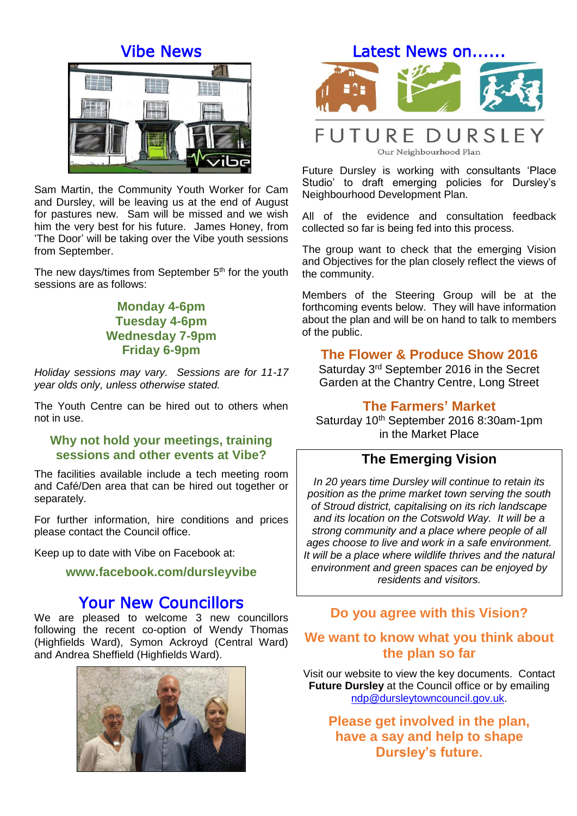### Vibe News



Sam Martin, the Community Youth Worker for Cam and Dursley, will be leaving us at the end of August for pastures new. Sam will be missed and we wish him the very best for his future. James Honey, from 'The Door' will be taking over the Vibe youth sessions from September.

The new days/times from September  $5<sup>th</sup>$  for the youth sessions are as follows:

### **Monday 4-6pm Tuesday 4-6pm Wednesday 7-9pm Friday 6-9pm**

*Holiday sessions may vary. Sessions are for 11-17 year olds only, unless otherwise stated.*

The Youth Centre can be hired out to others when not in use.

#### **Why not hold your meetings, training sessions and other events at Vibe?**

The facilities available include a tech meeting room and Café/Den area that can be hired out together or separately.

For further information, hire conditions and prices please contact the Council office.

Keep up to date with Vibe on Facebook at:

#### **www.facebook.com/dursleyvibe**

### Your New Councillors

We are pleased to welcome 3 new councillors following the recent co-option of Wendy Thomas (Highfields Ward), Symon Ackroyd (Central Ward) and Andrea Sheffield (Highfields Ward).





### **FUTURE DURSLEY** Our Neighbourhood Plan

Future Dursley is working with consultants 'Place Studio' to draft emerging policies for Dursley's Neighbourhood Development Plan.

All of the evidence and consultation feedback collected so far is being fed into this process.

The group want to check that the emerging Vision and Objectives for the plan closely reflect the views of the community.

Members of the Steering Group will be at the forthcoming events below. They will have information about the plan and will be on hand to talk to members of the public.

### **The Flower & Produce Show 2016**

Saturday 3rd September 2016 in the Secret Garden at the Chantry Centre, Long Street

#### **The Farmers' Market**

Saturday 10<sup>th</sup> September 2016 8:30am-1pm in the Market Place

### **The Emerging Vision**

*In 20 years time Dursley will continue to retain its position as the prime market town serving the south of Stroud district, capitalising on its rich landscape and its location on the Cotswold Way. It will be a strong community and a place where people of all ages choose to live and work in a safe environment. It will be a place where wildlife thrives and the natural environment and green spaces can be enjoyed by residents and visitors.*

#### **Do you agree with this Vision?**

### **We want to know what you think about the plan so far**

Visit our website to view the key documents. Contact **Future Dursley** at the Council office or by emailing [ndp@dursleytowncouncil.gov.uk.](mailto:ndp@dursleytowncouncil.gov.uk)

**Please get involved in the plan, have a say and help to shape Dursley's future.**